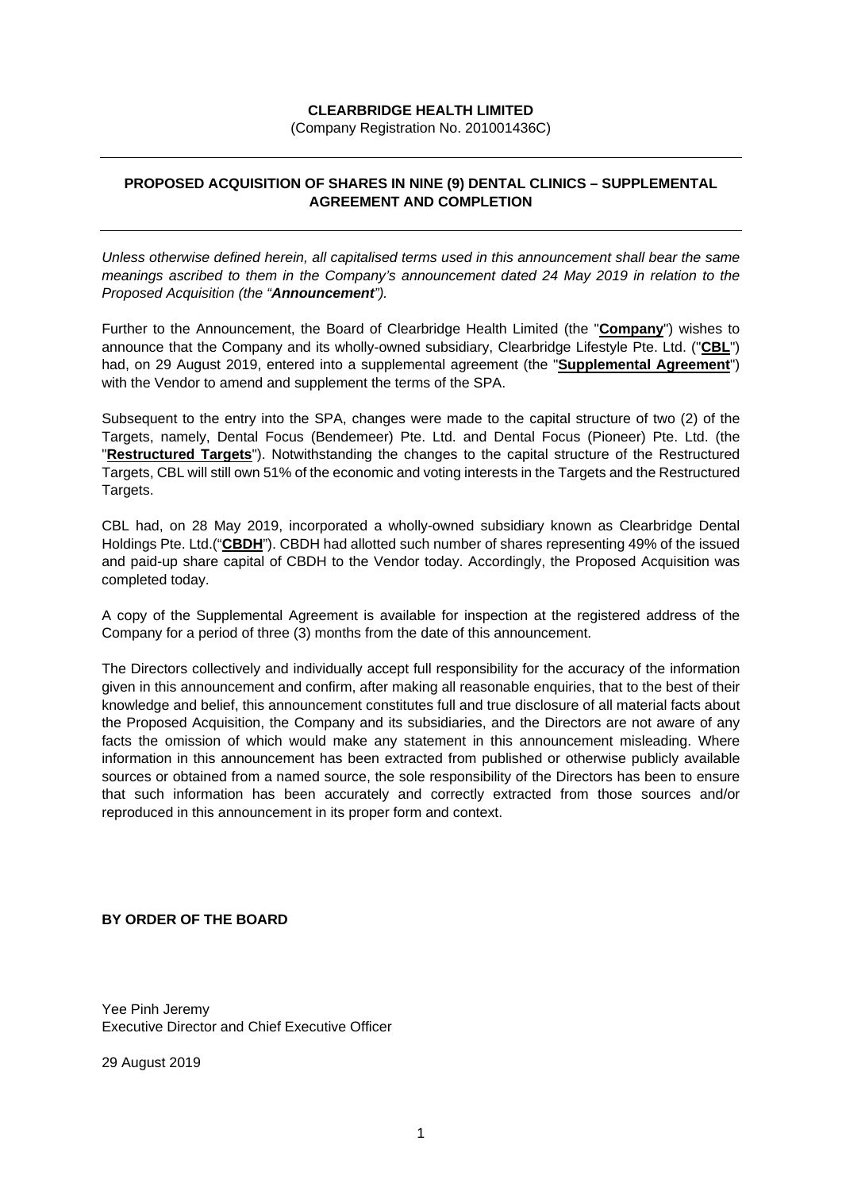## **CLEARBRIDGE HEALTH LIMITED**

(Company Registration No. 201001436C)

## **PROPOSED ACQUISITION OF SHARES IN NINE (9) DENTAL CLINICS – SUPPLEMENTAL AGREEMENT AND COMPLETION**

*Unless otherwise defined herein, all capitalised terms used in this announcement shall bear the same meanings ascribed to them in the Company's announcement dated 24 May 2019 in relation to the Proposed Acquisition (the "Announcement").*

Further to the Announcement, the Board of Clearbridge Health Limited (the "**Company**") wishes to announce that the Company and its wholly-owned subsidiary, Clearbridge Lifestyle Pte. Ltd. ("**CBL**") had, on 29 August 2019, entered into a supplemental agreement (the "**Supplemental Agreement**") with the Vendor to amend and supplement the terms of the SPA.

Subsequent to the entry into the SPA, changes were made to the capital structure of two (2) of the Targets, namely, Dental Focus (Bendemeer) Pte. Ltd. and Dental Focus (Pioneer) Pte. Ltd. (the "**Restructured Targets**"). Notwithstanding the changes to the capital structure of the Restructured Targets, CBL will still own 51% of the economic and voting interests in the Targets and the Restructured Targets.

CBL had, on 28 May 2019, incorporated a wholly-owned subsidiary known as Clearbridge Dental Holdings Pte. Ltd.("**CBDH**"). CBDH had allotted such number of shares representing 49% of the issued and paid-up share capital of CBDH to the Vendor today. Accordingly, the Proposed Acquisition was completed today.

A copy of the Supplemental Agreement is available for inspection at the registered address of the Company for a period of three (3) months from the date of this announcement.

The Directors collectively and individually accept full responsibility for the accuracy of the information given in this announcement and confirm, after making all reasonable enquiries, that to the best of their knowledge and belief, this announcement constitutes full and true disclosure of all material facts about the Proposed Acquisition, the Company and its subsidiaries, and the Directors are not aware of any facts the omission of which would make any statement in this announcement misleading. Where information in this announcement has been extracted from published or otherwise publicly available sources or obtained from a named source, the sole responsibility of the Directors has been to ensure that such information has been accurately and correctly extracted from those sources and/or reproduced in this announcement in its proper form and context.

## **BY ORDER OF THE BOARD**

Yee Pinh Jeremy Executive Director and Chief Executive Officer

29 August 2019